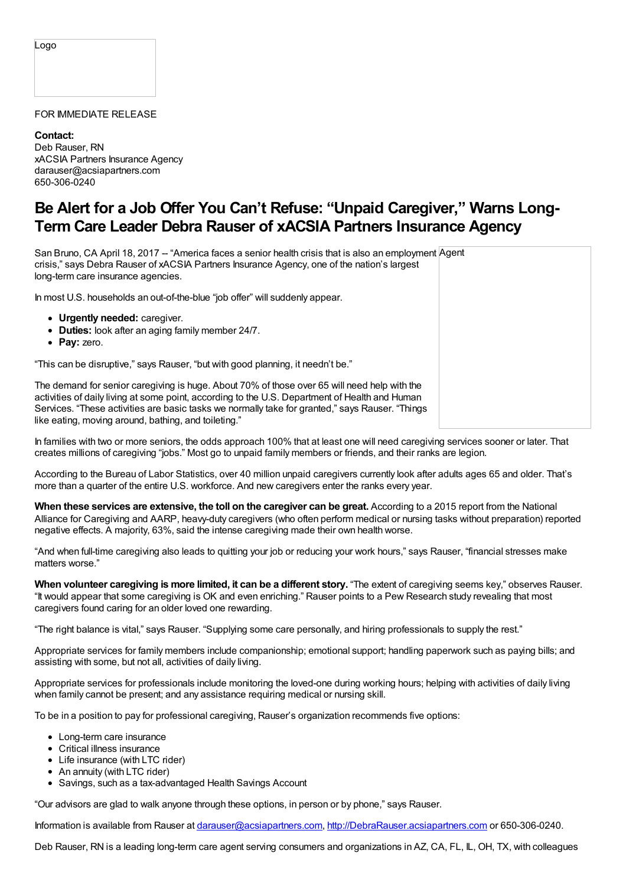## FOR IMMEDIATE RELEASE

**Contact:** Deb Rauser, RN xACSIA Partners Insurance Agency darauser@acsiapartners.com 650-306-0240

## **Be Alert for a Job Offer You Can't Refuse: "Unpaid Caregiver," Warns Long-Term Care Leader Debra Rauser of xACSIA Partners Insurance Agency**

San Bruno, CA April 18, 2017 -- "America faces a senior health crisis that is also an employment Agent crisis," says Debra Rauser of xACSIA Partners Insurance Agency, one of the nation's largest long-term care insurance agencies.

In most U.S. households an out-of-the-blue "job offer" will suddenly appear.

- **Urgently needed:** caregiver.
- **Duties:** look after an aging family member 24/7.
- **Pay:** zero.

"This can be disruptive," says Rauser, "but with good planning, it needn't be."

The demand for senior caregiving is huge. About 70% of those over 65 will need help with the activities of daily living at some point, according to the U.S. Department of Health and Human Services. "These activities are basic tasks we normally take for granted," says Rauser. "Things like eating, moving around, bathing, and toileting."

In families with two or more seniors, the odds approach 100% that at least one will need caregiving services sooner or later. That creates millions of caregiving "jobs." Most go to unpaid family members or friends, and their ranks are legion.

According to the Bureau of Labor Statistics, over 40 million unpaid caregivers currently look after adults ages 65 and older. That's more than a quarter of the entire U.S. workforce. And new caregivers enter the ranks every year.

**When these services are extensive, the toll on the caregiver can be great.** According to a 2015 report from the National Alliance for Caregiving and AARP, heavy-duty caregivers (who often perform medical or nursing tasks without preparation) reported negative effects. A majority, 63%, said the intense caregiving made their own health worse.

"And when full-time caregiving also leads to quitting your job or reducing your work hours," says Rauser, "financial stresses make matters worse."

**When volunteer caregiving is more limited, it can be a different story.** "The extent of caregiving seems key," observes Rauser. "It would appear that some caregiving is OK and even enriching." Rauser points to a Pew Research study revealing that most caregivers found caring for an older loved one rewarding.

"The right balance is vital," says Rauser. "Supplying some care personally, and hiring professionals to supply the rest."

Appropriate services for family members include companionship; emotional support; handling paperwork such as paying bills; and assisting with some, but not all, activities of daily living.

Appropriate services for professionals include monitoring the loved-one during working hours; helping with activities of daily living when family cannot be present; and any assistance requiring medical or nursing skill.

To be in a position to pay for professional caregiving, Rauser's organization recommends five options:

- Long-term care insurance
- Critical illness insurance
- Life insurance (with LTC rider)
- An annuity (with LTC rider)
- Savings, such as a tax-advantaged Health Savings Account

"Our advisors are glad to walk anyone through these options, in person or by phone," says Rauser.

Information is available from Rauser at [darauser@acsiapartners.com](mailto:darauser@acsiapartners.com), [http://DebraRauser.acsiapartners.com](http://debrarauser.acsiapartners.com) or 650-306-0240.

Deb Rauser, RN is a leading long-term care agent serving consumers and organizations in AZ, CA, FL, IL, OH, TX, with colleagues

Logo